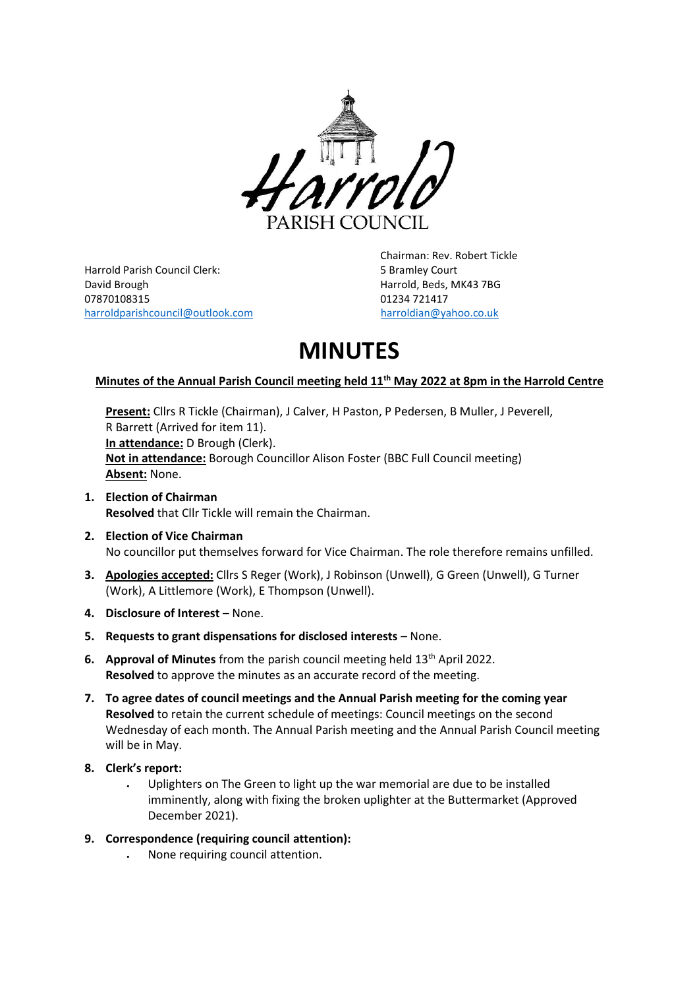

Harrold Parish Council Clerk: 5 Bramley Court David Brough Harrold, Beds, MK43 7BG 07870108315 01234 721417 [harroldparishcouncil@outlook.com](mailto:harroldparishcouncil@outlook.com) [harroldian@yahoo.co.uk](mailto:harroldian@yahoo.co.uk)

Chairman: Rev. Robert Tickle

# **MINUTES**

# **Minutes of the Annual Parish Council meeting held 11 th May 2022 at 8pm in the Harrold Centre**

**Present:** Cllrs R Tickle (Chairman), J Calver, H Paston, P Pedersen, B Muller, J Peverell, R Barrett (Arrived for item 11). **In attendance:** D Brough (Clerk). **Not in attendance:** Borough Councillor Alison Foster (BBC Full Council meeting) **Absent:** None.

- **1. Election of Chairman Resolved** that Cllr Tickle will remain the Chairman.
- **2. Election of Vice Chairman** No councillor put themselves forward for Vice Chairman. The role therefore remains unfilled.
- **3. Apologies accepted:** Cllrs S Reger (Work), J Robinson (Unwell), G Green (Unwell), G Turner (Work), A Littlemore (Work), E Thompson (Unwell).
- **4. Disclosure of Interest** None.
- **5. Requests to grant dispensations for disclosed interests**  None.
- **6. Approval of Minutes** from the parish council meeting held 13th April 2022. **Resolved** to approve the minutes as an accurate record of the meeting.
- **7. To agree dates of council meetings and the Annual Parish meeting for the coming year Resolved** to retain the current schedule of meetings: Council meetings on the second Wednesday of each month. The Annual Parish meeting and the Annual Parish Council meeting will be in May.
- **8. Clerk's report:**
	- Uplighters on The Green to light up the war memorial are due to be installed imminently, along with fixing the broken uplighter at the Buttermarket (Approved December 2021).
- **9. Correspondence (requiring council attention):**
	- None requiring council attention.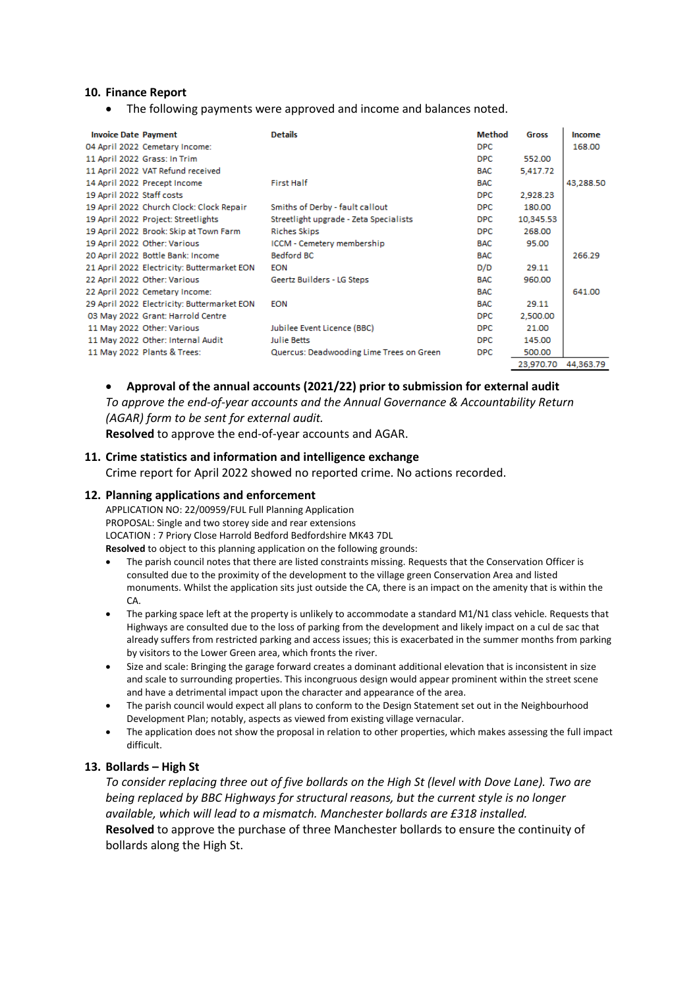#### **10. Finance Report**

• The following payments were approved and income and balances noted.

| <b>Invoice Date Payment</b> |                                             | <b>Details</b>                           | <b>Method</b> | Gross               | Income    |
|-----------------------------|---------------------------------------------|------------------------------------------|---------------|---------------------|-----------|
|                             | 04 April 2022 Cemetary Income:              |                                          | <b>DPC</b>    |                     | 168.00    |
|                             | 11 April 2022 Grass: In Trim                |                                          | <b>DPC</b>    | 552.00              |           |
|                             | 11 April 2022 VAT Refund received           |                                          | <b>BAC</b>    | 5,417.72            |           |
|                             | 14 April 2022 Precept Income                | First Half                               | <b>BAC</b>    |                     | 43,288.50 |
| 19 April 2022 Staff costs   |                                             |                                          | <b>DPC</b>    | 2,928.23            |           |
|                             | 19 April 2022 Church Clock: Clock Repair    | Smiths of Derby - fault callout          | <b>DPC</b>    | 180.00              |           |
|                             | 19 April 2022 Project: Streetlights         | Streetlight upgrade - Zeta Specialists   | <b>DPC</b>    | 10,345.53           |           |
|                             | 19 April 2022 Brook: Skip at Town Farm      | <b>Riches Skips</b>                      | <b>DPC</b>    | 268.00              |           |
|                             | 19 April 2022 Other: Various                | ICCM - Cemetery membership               | <b>BAC</b>    | 95.00               |           |
|                             | 20 April 2022 Bottle Bank: Income           | <b>Bedford BC</b>                        | <b>BAC</b>    |                     | 266.29    |
|                             | 21 April 2022 Electricity: Buttermarket EON | <b>EON</b>                               | D/D           | 29.11               |           |
|                             | 22 April 2022 Other: Various                | Geertz Builders - LG Steps               | <b>BAC</b>    | 960.00              |           |
|                             | 22 April 2022 Cemetary Income:              |                                          | <b>BAC</b>    |                     | 641.00    |
|                             | 29 April 2022 Electricity: Buttermarket EON | <b>EON</b>                               | <b>BAC</b>    | 29.11               |           |
|                             | 03 May 2022 Grant: Harrold Centre           |                                          | <b>DPC</b>    | 2,500.00            |           |
|                             | 11 May 2022 Other: Various                  | Jubilee Event Licence (BBC)              | <b>DPC</b>    | 21.00               |           |
|                             | 11 May 2022 Other: Internal Audit           | Julie Betts                              | <b>DPC</b>    | 145.00              |           |
|                             | 11 May 2022 Plants & Trees:                 | Quercus: Deadwooding Lime Trees on Green | <b>DPC</b>    | 500.00              |           |
|                             |                                             |                                          |               | 23.970.70 44.363.79 |           |

#### • **Approval of the annual accounts (2021/22) prior to submission for external audit**

*To approve the end-of-year accounts and the Annual Governance & Accountability Return (AGAR) form to be sent for external audit.*

**Resolved** to approve the end-of-year accounts and AGAR.

## **11. Crime statistics and information and intelligence exchange**

Crime report for April 2022 showed no reported crime. No actions recorded.

#### **12. Planning applications and enforcement**

APPLICATION NO: 22/00959/FUL Full Planning Application PROPOSAL: Single and two storey side and rear extensions LOCATION : 7 Priory Close Harrold Bedford Bedfordshire MK43 7DL **Resolved** to object to this planning application on the following grounds:

- The parish council notes that there are listed constraints missing. Requests that the Conservation Officer is consulted due to the proximity of the development to the village green Conservation Area and listed monuments. Whilst the application sits just outside the CA, there is an impact on the amenity that is within the  $CA$
- The parking space left at the property is unlikely to accommodate a standard M1/N1 class vehicle. Requests that Highways are consulted due to the loss of parking from the development and likely impact on a cul de sac that already suffers from restricted parking and access issues; this is exacerbated in the summer months from parking by visitors to the Lower Green area, which fronts the river.
- Size and scale: Bringing the garage forward creates a dominant additional elevation that is inconsistent in size and scale to surrounding properties. This incongruous design would appear prominent within the street scene and have a detrimental impact upon the character and appearance of the area.
- The parish council would expect all plans to conform to the Design Statement set out in the Neighbourhood Development Plan; notably, aspects as viewed from existing village vernacular.
- The application does not show the proposal in relation to other properties, which makes assessing the full impact difficult.

### **13. Bollards – High St**

*To consider replacing three out of five bollards on the High St (level with Dove Lane). Two are being replaced by BBC Highways for structural reasons, but the current style is no longer available, which will lead to a mismatch. Manchester bollards are £318 installed.* **Resolved** to approve the purchase of three Manchester bollards to ensure the continuity of bollards along the High St.